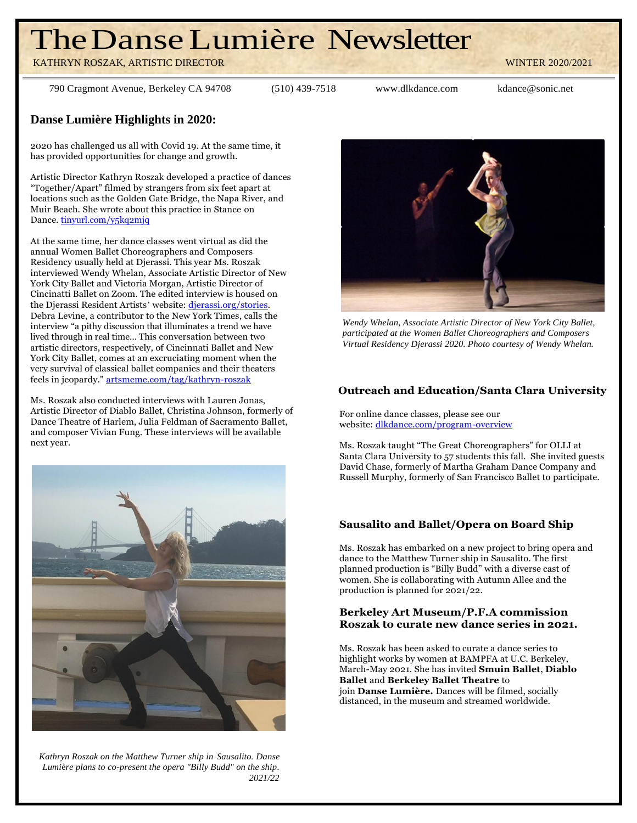# TheDanseLumière Newsletter

KATHRYN ROSZAK, ARTISTIC DIRECTOR WINTER 2020/2021

790 Cragmont Avenue, Berkeley CA 94708 (510) 439-7518 [www.dlkdance.com](http://www.dlkdance.com/) [kdance@sonic.net](mailto:kdance@sonic.net)

**Danse Lumière Highlights in 2020:**

2020 has challenged us all with Covid 19. At the same time, it has provided opportunities for change and growth.

Artistic Director Kathryn Roszak developed a practice of dances "Together/Apart" filmed by strangers from six feet apart at locations such as the Golden Gate Bridge, the Napa River, and Muir Beach. She wrote about this practice in Stance on Dance. [tinyurl.com/y5kq2mjq](https://tinyurl.com/y5kq2mjq)

At the same time, her dance classes went virtual as did the annual Women Ballet Choreographers and Composers Residency usually held at Djerassi. This year Ms. Roszak interviewed Wendy Whelan, Associate Artistic Director of New York City Ballet and Victoria Morgan, Artistic Director of Cincinatti Ballet on Zoom. The edited interview is housed on the Dierassi Resident Artists' website: *dierassi.org/stories*. Debra Levine, a contributor to the New York Times, calls the interview "a pithy discussion that illuminates a trend we have lived through in real time… This conversation between two artistic directors, respectively, of Cincinnati Ballet and New York City Ballet, comes at an excruciating moment when the very survival of classical ballet companies and their theaters feels in jeopardy." [artsmeme.com/tag/kathryn-roszak](https://artsmeme.com/tag/kathryn-roszak)

Ms. Roszak also conducted interviews with Lauren Jonas, Artistic Director of Diablo Ballet, Christina Johnson, formerly of Dance Theatre of Harlem, Julia Feldman of Sacramento Ballet, and composer Vivian Fung. These interviews will be available next year.



*Kathryn Roszak on the Matthew Turner ship in Sausalito. Danse Lumi*è*re plans to co-present the opera "Billy Budd" on the ship. 2021/22*



*Wendy Whelan, Associate Artistic Director of New York City Ballet, participated at the Women Ballet Choreographers and Composers Virtual Residency Djerassi 2020. Photo courtesy of Wendy Whelan.*

# **Outreach and Education/Santa Clara University**

For online dance classes, please see our website: [dlkdance.com/program-overview](http://www.dlkdance.com/program-overview)

Ms. Roszak taught "The Great Choreographers" for OLLI at Santa Clara University to 57 students this fall. She invited guests David Chase, formerly of Martha Graham Dance Company and Russell Murphy, formerly of San Francisco Ballet to participate.

# **Sausalito and Ballet/Opera on Board Ship**

Ms. Roszak has embarked on a new project to bring opera and dance to the Matthew Turner ship in Sausalito. The first planned production is "Billy Budd" with a diverse cast of women. She is collaborating with Autumn Allee and the production is planned for 2021/22.

## **Berkeley Art Museum/P.F.A commission Roszak to curate new dance series in 2021.**

Ms. Roszak has been asked to curate a dance series to highlight works by women at BAMPFA at U.C. Berkeley, March-May 2021. She has invited **Smuin Ballet**, **Diablo Ballet** and **Berkeley Ballet Theatre** to join **Danse Lumière.** Dances will be filmed, socially distanced, in the museum and streamed worldwide.